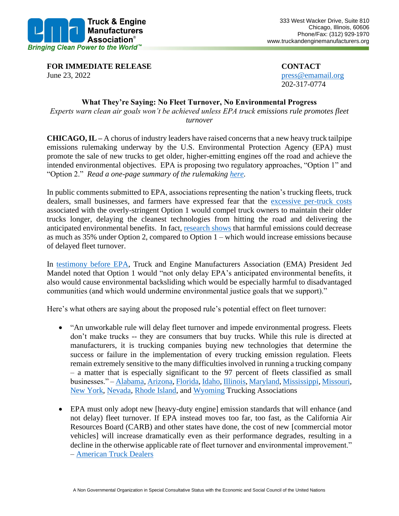

**FOR IMMEDIATE RELEASE CONTACT** June 23, 2022 press @emamail.org

202-317-0774

## **What They're Saying: No Fleet Turnover, No Environmental Progress**

*Experts warn clean air goals won't be achieved unless EPA truck emissions rule promotes fleet turnover*

**CHICAGO, IL –** A chorus of industry leaders have raised concerns that a new heavy truck tailpipe emissions rulemaking underway by the U.S. Environmental Protection Agency (EPA) must promote the sale of new trucks to get older, higher-emitting engines off the road and achieve the intended environmental objectives. EPA is proposing two regulatory approaches, "Option 1" and "Option 2." *Read a one-page summary of the rulemaking [here.](https://static1.squarespace.com/static/624ddf53a2360b6600755b47/t/62ab2e91caf5e456da8d09bb/1655385753138/FINAL+EPA+Rule+Just+the+Facts+One+Pager+6.16.pdf)*

In public comments submitted to EPA, associations representing the nation's trucking fleets, truck dealers, small businesses, and farmers have expressed fear that the [excessive per-truck costs](https://static1.squarespace.com/static/624ddf53a2360b6600755b47/t/62a8fe293fc93513808dee04/1655242281780/2022+06+14+EMA+Summary+of+Costs+in+EPA_s+NOx+NPRM.pdf) associated with the overly-stringent Option 1 would compel truck owners to maintain their older trucks longer, delaying the cleanest technologies from hitting the road and delivering the anticipated environmental benefits. In fact, [research shows](https://static1.squarespace.com/static/624ddf53a2360b6600755b47/t/624f66f9ccfff63904f2a967/1649370873280/Ramboll_EMA_Scenarios_10Feb2022.pdf) that harmful emissions could decrease as much as 35% under Option 2, compared to Option 1 – which would increase emissions because of delayed fleet turnover.

In [testimony before EPA,](http://www.truckandenginemanufacturers.org/file.asp?A=Y&F=2022+04+12+EMA%92s+Oral+Statement+on+EPA%92s+Proposed+Heavy%2DDuty+Engine+and+Vehicle+Standards%2EPDF&N=2022+04+12+EMA%92s+Oral+Statement+on+EPA%92s+Proposed+Heavy%2DDuty+Engine+and+Vehicle+Standards%2EPDF&C=documents) Truck and Engine Manufacturers Association (EMA) President Jed Mandel noted that Option 1 would "not only delay EPA's anticipated environmental benefits, it also would cause environmental backsliding which would be especially harmful to disadvantaged communities (and which would undermine environmental justice goals that we support)."

Here's what others are saying about the proposed rule's potential effect on fleet turnover:

- "An unworkable rule will delay fleet turnover and impede environmental progress. Fleets don't make trucks -- they are consumers that buy trucks. While this rule is directed at manufacturers, it is trucking companies buying new technologies that determine the success or failure in the implementation of every trucking emission regulation. Fleets remain extremely sensitive to the many difficulties involved in running a trucking company – a matter that is especially significant to the 97 percent of fleets classified as small businesses." – [Alabama,](https://www.regulations.gov/comment/EPA-HQ-OAR-2019-0055-1132) [Arizona,](https://www.regulations.gov/comment/EPA-HQ-OAR-2019-0055-1157) [Florida,](https://www.regulations.gov/comment/EPA-HQ-OAR-2019-0055-1085) [Idaho,](https://www.regulations.gov/comment/EPA-HQ-OAR-2019-0055-1101) [Illinois,](https://www.regulations.gov/comment/EPA-HQ-OAR-2019-0055-1133) [Maryland,](https://www.regulations.gov/comment/EPA-HQ-OAR-2019-0055-1044) [Mississippi,](https://www.regulations.gov/comment/EPA-HQ-OAR-2019-0055-1128) [Missouri,](https://www.regulations.gov/comment/EPA-HQ-OAR-2019-0055-1107) [New York,](https://www.regulations.gov/comment/EPA-HQ-OAR-2019-0055-1184) [Nevada,](https://www.regulations.gov/comment/EPA-HQ-OAR-2019-0055-1155) [Rhode Island,](https://www.regulations.gov/comment/EPA-HQ-OAR-2019-0055-1072) and [Wyoming](https://www.regulations.gov/comment/EPA-HQ-OAR-2019-0055-1039) Trucking Associations
- EPA must only adopt new [heavy-duty engine] emission standards that will enhance (and not delay) fleet turnover. If EPA instead moves too far, too fast, as the California Air Resources Board (CARB) and other states have done, the cost of new [commercial motor vehicles] will increase dramatically even as their performance degrades, resulting in a decline in the otherwise applicable rate of fleet turnover and environmental improvement." – [American Truck Dealers](https://www.regulations.gov/comment/EPA-HQ-OAR-2019-0055-1321)